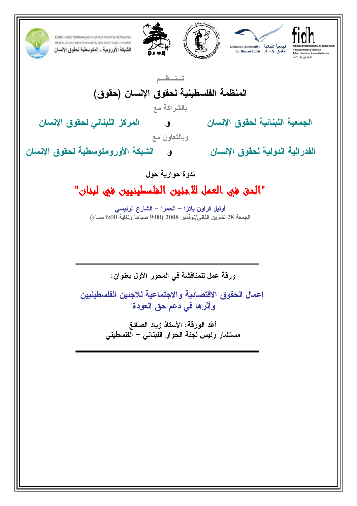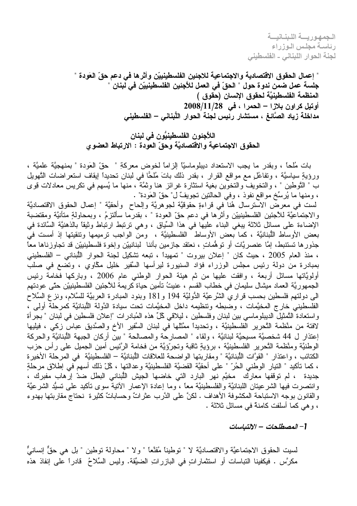الجمهوريسة اللبنيانيسة رئاسة مجلس الوزراء لجنة الحوار اللبناني - الفلسطيني

" إعمال الحقوق الاقتصادية والاجتماعية للاجئين الفلسطينييّن وأثرها في دعم حقّ العَودة " جلسة عمل ضمن ندوة حول " الحقّ في العمل للأجئين الفلسطينييّن في لبنان " المنظمة الفلسطينيَّة لحقوق الإنسان (حقوق ) أوتيل كراون بلازا – الحمرا ، في 2008/11/28 مداخلة زياد الصَّائغ ، مستشار رئيس لجنة الحوار اللُّبناني – الفلسطيني

اللاَّجِئون الفلسطينيُّون في لبنان الحقوق الاجتماعية والاقتصاديَّة وحقِّ العودة : الارتباط العضوي

بات مُلحًّا ، وبقدر ما يجب الاستعداد ديبلوماسيًّا الزَّاماً لخوض معركةِ " حقَّ العَودة " بمنهجيَّة علميَّة ، ورِ وَيةِ سياسيَّة ، وتفاعُل مع مواقع القرار ، بقدر ذلك باتَ مُلحًّا في لبنان تحديداً ايقاف استعراضات التَّهويل ب " النَّوطين " ، والنخويفَّ والنخوَّين بغية استثارة غرائز هنا وثمَّةً ، منها ما يُسهم في نكريس معادلات قوى ، ومنها ما يُرسِّخ مواقع نفوذ ، وفي الحالتين تجويفٌ ل" حقِّ العَودة" .

لست في معرضٌ الاسترسال هُنا في قراءةٍ حقوقيَّة لجوهريَّة وإلحاح ۖ وأحقيَّة " إعمال الحقوق الاقتصاديَّة والاجتماعيَّة للأجئين الفلسطينييّن وأثرها في دعم حقّ العودة " ، بقدرُما سألتزمُ ، وبمحاولةٍ متأنيَّة ومقتضبة الإضاءة على مسائل ثلاثة ببغي البناء عليها في هذا السِّياق ، وهي نرنبط ارتباط وثيقًا بالذهنيَّة السَّائدة في بعض الأوساط اللُّبنانيَّة ، كما بعض الأوساط الفلسطينيَّة ، ومن الواجب نرميمها ونتقيتها إذ أمست في جذورها تستنبط، إمَّا عنصريَّات أو توهُّماتٍ ، نعتقد جازمين بأننا ۖ لبنانييِّن وإخوة فلسطينييِّن قد تجاوزناها معا ، منذ العام 2005 ، حيث كان " إعلان بيروت " تمهيداً ، نبعه تشكيل لجنة الحوار اللُّبناني – الفلسطيني بمبادرة من دولة رئيس مجلس الوزراء فؤاد السنيورة ليرأسها السَّفير خليل مكَّاوي ، وتضع في صلب أولويَّاتها مسائل أربعة ، وافقت عليها من ثم هيئة الحوار الوطني عام 2006 ، وباركها فخامة رئيس الجمهوريَّة العماد ميشال سليمان في خطاب القسم ، عنيتُ تأمين حياة كريمة للأجئين الفلسطينييّن حتَّى عودتهم الي دولتهم فلسطين بحسب قراري الشَّرعيَّة الدُّوليَّة 194 و 181 وبنود المبادرة العربيَّة للسَّلام، ونزع السِّلاح الفلسطيني خارج المخيَّمات ، وضبطه ونتظيمه داخل المخيَّمات تحت سيادة الدَّولة اللُّبنانيَّة كمرحلة أولى ، واستعادة النَّمثيلَّ الديبلوماسي بين لبنان وفلسطين ، ليلاقي كُلِّ هذه المُبادر ات "إعلان فلسطين في لبنان " بجرأة لافتة من منَّظمة النَّحرير الفلسطينيَّة ، وتحديداً ممَّثلها في لبنان السَّفير الأخ والصَّديق عباس زكي ، فيليها إعتذار ل 44 شخصيَّة مسيحيَّة لبنانيَّة ، ولقاء " المصارحة والمصالحة " بين أركان الجبهة اللُّبنانيَّة والحركة الوطنيَّة ومتَّظمة النَّحرير الفلسطينيَّة ، برؤيةٍ ثاقبة وتجرِّؤيَّة من فخامة الرَّئيس أمين الجميل على رأس حزب الكتائب ، واعتذار " القوَّات اللُّبنانيَّة " ومقاربتها الواضحة للعلاقات اللُّبنانيَّة – الفلسطينيَّة في المرحلة الأخيرة ، كما نأكيد " النيار الوطني الحُرّ " على أحقيَّة القضيَّة الفلسطينيَّة وعدالتها ، كُلّ ذلك أسهم في إطلاق مرحلةٍ جديدة ، لم توقفها معارك مخيَّم نهر البارد التي خاضها الجيش اللُّبناني البطل ضدّ إر هاب مفبرك ، وانتصرت فيها الشرعيتان اللبنانيَّة والفلسطينيَّة معًا ، وما إعادة الإعمار الأننية سوى نأكيد على نسيُّد الشرعيَّة والقانون بوجه الاستباحة المكشوفة الأهداف . لكنَّ على الدَّرب عثراتٌ وحساباتٌ كثيرة نحتاج مقاربتها بهدوء ، و هي كما أسلفت كامنة في مسائل ثلاثة .

[- المصطلحات – الإلتباسات

لسيت الحقوق الاجتماعيَّة والاقتصاديَّة لا " توطيناً مُقنَّعاً " ولا " محاولة توطين " بل هي حقٌّ إنسانيٌّ ، مكرَّس . فيكفينا النباسات أو استثماراتٍ في البازراتِ الضيِّقة. وليس السِّلاحُ قادراً على إنفاذ هذه